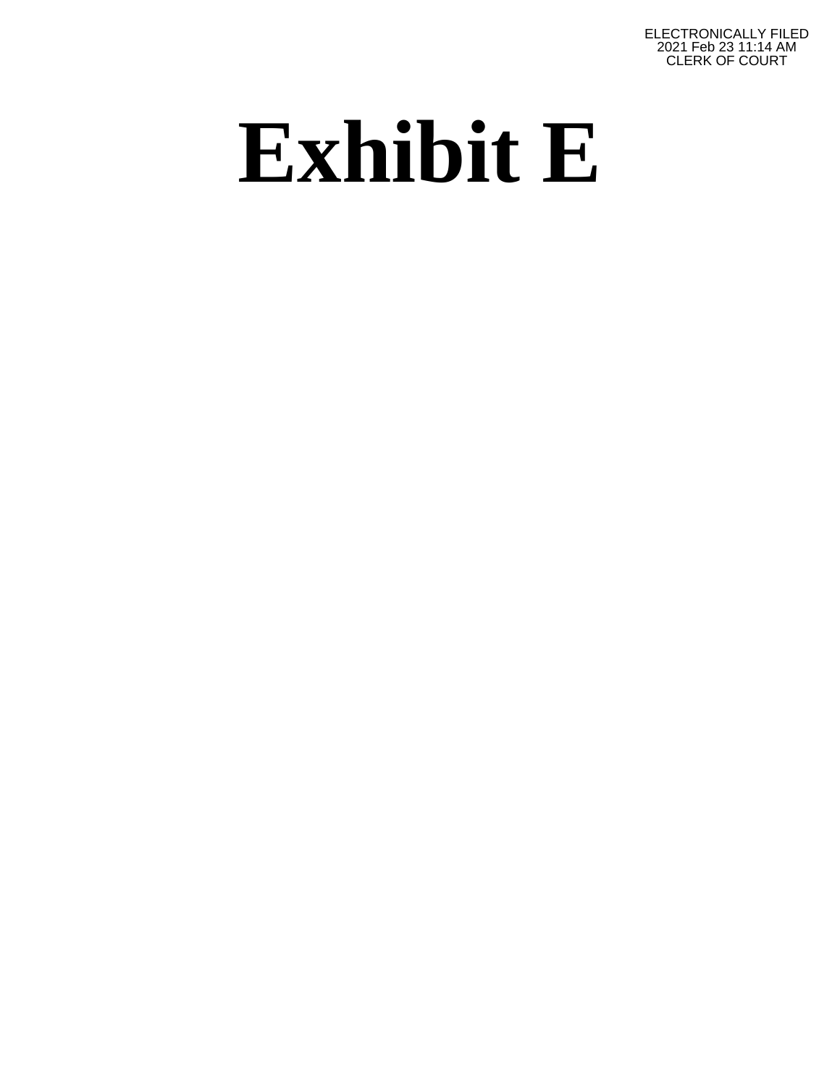ELECTRONICALLY FILED 2021 Feb 23 11:14 AM CLERK OF COURT

# **Exhibit E**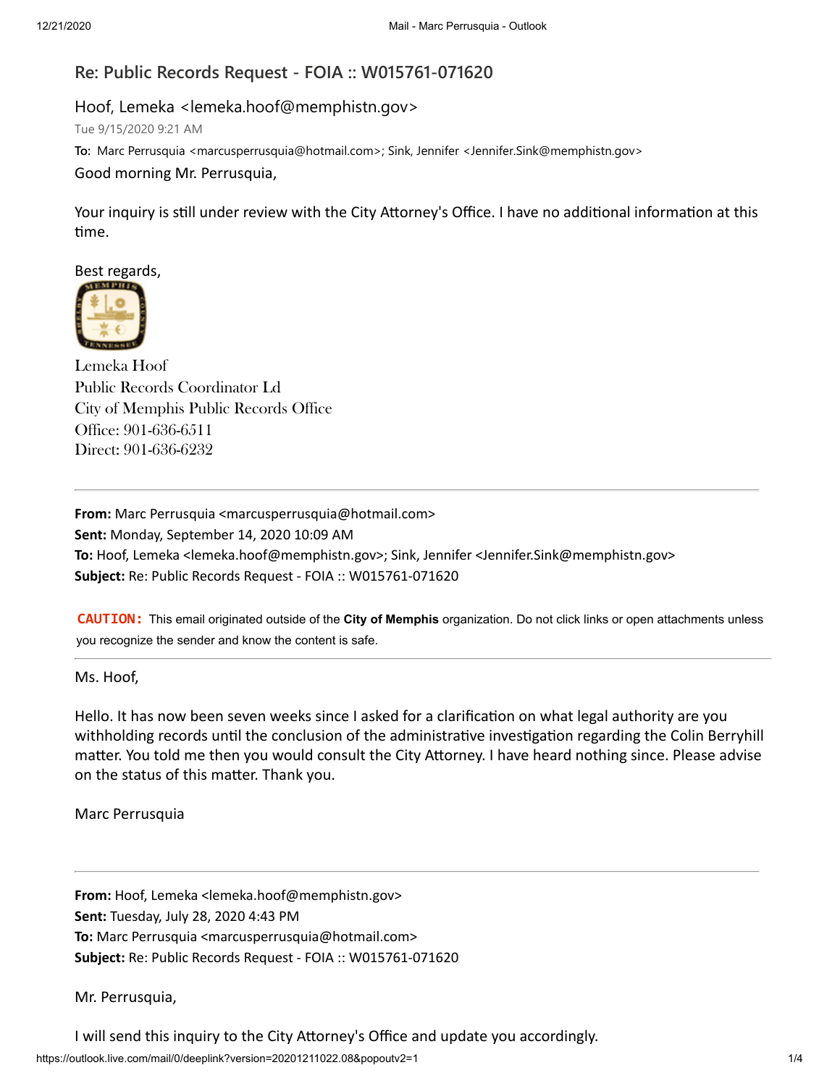# **Re: Public Records Request - FOIA :: W015761-071620**

# Hoof, Lemeka <lemeka.hoof@memphistn.gov>

Tue 9/15/2020 9:21 AM

**To:** Marc Perrusquia <marcusperrusquia@hotmail.com>; Sink, Jennifer <Jennifer.Sink@memphistn.gov>

## Good morning Mr. Perrusquia,

Your inquiry is still under review with the City Attorney's Office. I have no additional information at this time.

Best regards,



Lemeka Hoof Public Records Coordinator Ld City of Memphis Public Records Office Office: 901-636-6511 Direct: 901-636-6232

**From:** Marc Perrusquia <marcusperrusquia@hotmail.com> **Sent:** Monday, September 14, 2020 10:09 AM **To:** Hoof, Lemeka <lemeka.hoof@memphistn.gov>; Sink, Jennifer <Jennifer.Sink@memphistn.gov> **Subject:** Re: Public Records Request - FOIA :: W015761-071620

**CAUTION:** This email originated outside of the **City of Memphis** organization. Do not click links or open attachments unless you recognize the sender and know the content is safe.

### Ms. Hoof,

Hello. It has now been seven weeks since I asked for a clarification on what legal authority are you withholding records until the conclusion of the administrative investigation regarding the Colin Berryhill matter. You told me then you would consult the City Attorney. I have heard nothing since. Please advise on the status of this matter. Thank you.

Marc Perrusquia

**From:** Hoof, Lemeka <lemeka.hoof@memphistn.gov> **Sent:** Tuesday, July 28, 2020 4:43 PM **To:** Marc Perrusquia <marcusperrusquia@hotmail.com> **Subject:** Re: Public Records Request - FOIA :: W015761-071620

Mr. Perrusquia,

I will send this inquiry to the City Attorney's Office and update you accordingly.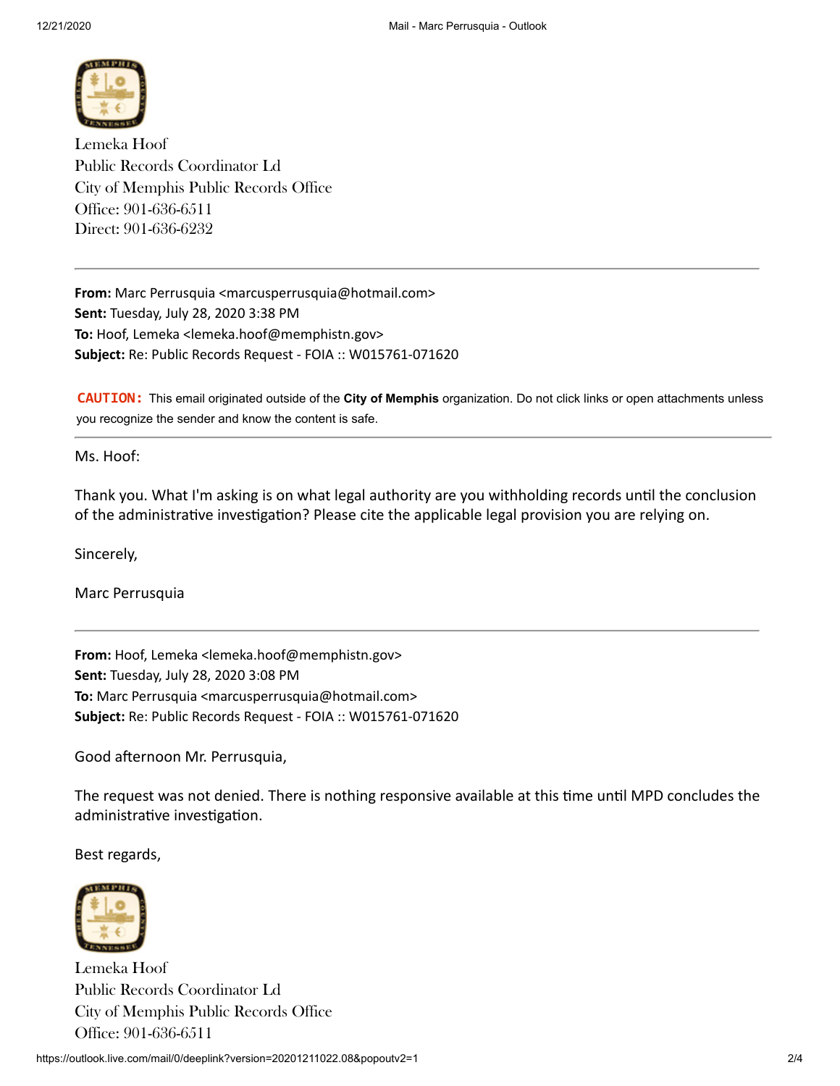

Lemeka Hoof Public Records Coordinator Ld City of Memphis Public Records Office Office: 901-636-6511 Direct: 901-636-6232

**From:** Marc Perrusquia <marcusperrusquia@hotmail.com> **Sent:** Tuesday, July 28, 2020 3:38 PM **To:** Hoof, Lemeka <lemeka.hoof@memphistn.gov> **Subject:** Re: Public Records Request - FOIA :: W015761-071620

**CAUTION:** This email originated outside of the **City of Memphis** organization. Do not click links or open attachments unless you recognize the sender and know the content is safe.

Ms. Hoof:

Thank you. What I'm asking is on what legal authority are you withholding records until the conclusion of the administrative investigation? Please cite the applicable legal provision you are relying on.

Sincerely,

Marc Perrusquia

**From:** Hoof, Lemeka <lemeka.hoof@memphistn.gov> **Sent:** Tuesday, July 28, 2020 3:08 PM **To:** Marc Perrusquia <marcusperrusquia@hotmail.com> **Subject:** Re: Public Records Request - FOIA :: W015761-071620

Good afternoon Mr. Perrusquia,

The request was not denied. There is nothing responsive available at this time until MPD concludes the administrative investigation.

Best regards,



Lemeka Hoof Public Records Coordinator Ld City of Memphis Public Records Office Office: 901-636-6511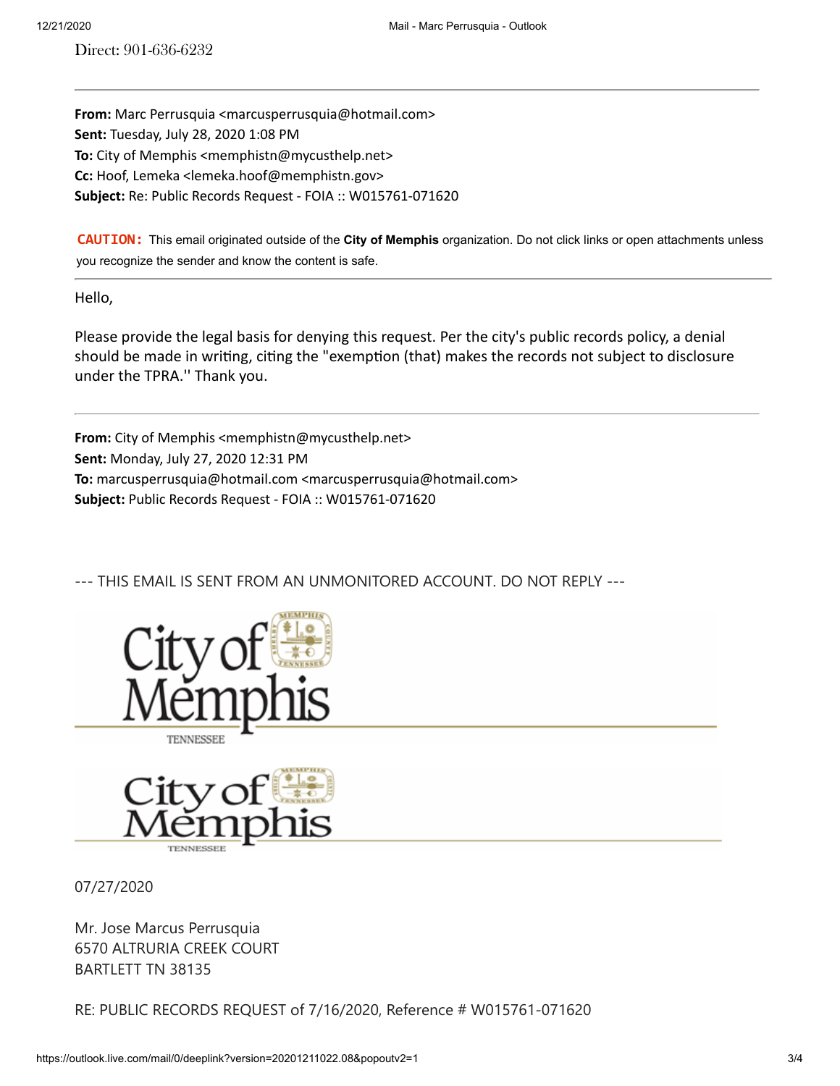Direct: 901-636-6232

**From:** Marc Perrusquia <marcusperrusquia@hotmail.com> **Sent:** Tuesday, July 28, 2020 1:08 PM **To:** City of Memphis <memphistn@mycusthelp.net> **Cc:** Hoof, Lemeka <lemeka.hoof@memphistn.gov> **Subject:** Re: Public Records Request - FOIA :: W015761-071620

**CAUTION:** This email originated outside of the **City of Memphis** organization. Do not click links or open attachments unless you recognize the sender and know the content is safe.

Hello,

Please provide the legal basis for denying this request. Per the city's public records policy, a denial should be made in writing, citing the "exemption (that) makes the records not subject to disclosure under the TPRA.'' Thank you.

From: City of Memphis <memphistn@mycusthelp.net> **Sent:** Monday, July 27, 2020 12:31 PM **To:** marcusperrusquia@hotmail.com <marcusperrusquia@hotmail.com> **Subject:** Public Records Request - FOIA :: W015761-071620

--- THIS EMAIL IS SENT FROM AN UNMONITORED ACCOUNT. DO NOT REPLY ---







07/27/2020

Mr. Jose Marcus Perrusquia 6570 ALTRURIA CREEK COURT BARTLETT TN 38135

RE: PUBLIC RECORDS REQUEST of 7/16/2020, Reference # W015761-071620